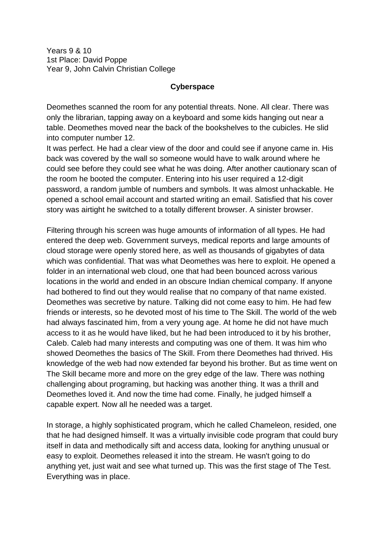Years 9 & 10 1st Place: David Poppe Year 9, John Calvin Christian College

## **Cyberspace**

Deomethes scanned the room for any potential threats. None. All clear. There was only the librarian, tapping away on a keyboard and some kids hanging out near a table. Deomethes moved near the back of the bookshelves to the cubicles. He slid into computer number 12.

It was perfect. He had a clear view of the door and could see if anyone came in. His back was covered by the wall so someone would have to walk around where he could see before they could see what he was doing. After another cautionary scan of the room he booted the computer. Entering into his user required a 12-digit password, a random jumble of numbers and symbols. It was almost unhackable. He opened a school email account and started writing an email. Satisfied that his cover story was airtight he switched to a totally different browser. A sinister browser.

Filtering through his screen was huge amounts of information of all types. He had entered the deep web. Government surveys, medical reports and large amounts of cloud storage were openly stored here, as well as thousands of gigabytes of data which was confidential. That was what Deomethes was here to exploit. He opened a folder in an international web cloud, one that had been bounced across various locations in the world and ended in an obscure Indian chemical company. If anyone had bothered to find out they would realise that no company of that name existed. Deomethes was secretive by nature. Talking did not come easy to him. He had few friends or interests, so he devoted most of his time to The Skill. The world of the web had always fascinated him, from a very young age. At home he did not have much access to it as he would have liked, but he had been introduced to it by his brother, Caleb. Caleb had many interests and computing was one of them. It was him who showed Deomethes the basics of The Skill. From there Deomethes had thrived. His knowledge of the web had now extended far beyond his brother. But as time went on The Skill became more and more on the grey edge of the law. There was nothing challenging about programing, but hacking was another thing. It was a thrill and Deomethes loved it. And now the time had come. Finally, he judged himself a capable expert. Now all he needed was a target.

In storage, a highly sophisticated program, which he called Chameleon, resided, one that he had designed himself. It was a virtually invisible code program that could bury itself in data and methodically sift and access data, looking for anything unusual or easy to exploit. Deomethes released it into the stream. He wasn't going to do anything yet, just wait and see what turned up. This was the first stage of The Test. Everything was in place.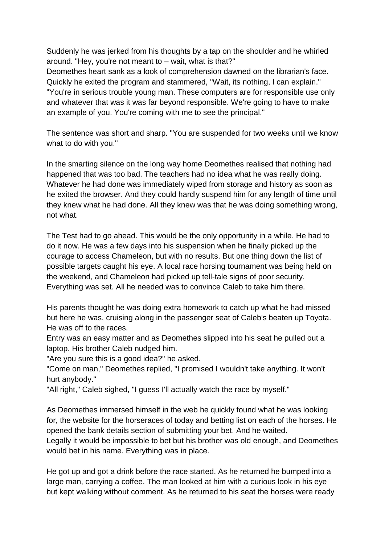Suddenly he was jerked from his thoughts by a tap on the shoulder and he whirled around. "Hey, you're not meant to – wait, what is that?"

Deomethes heart sank as a look of comprehension dawned on the librarian's face. Quickly he exited the program and stammered, "Wait, its nothing, I can explain." "You're in serious trouble young man. These computers are for responsible use only and whatever that was it was far beyond responsible. We're going to have to make an example of you. You're coming with me to see the principal."

The sentence was short and sharp. "You are suspended for two weeks until we know what to do with you."

In the smarting silence on the long way home Deomethes realised that nothing had happened that was too bad. The teachers had no idea what he was really doing. Whatever he had done was immediately wiped from storage and history as soon as he exited the browser. And they could hardly suspend him for any length of time until they knew what he had done. All they knew was that he was doing something wrong, not what.

The Test had to go ahead. This would be the only opportunity in a while. He had to do it now. He was a few days into his suspension when he finally picked up the courage to access Chameleon, but with no results. But one thing down the list of possible targets caught his eye. A local race horsing tournament was being held on the weekend, and Chameleon had picked up tell-tale signs of poor security. Everything was set. All he needed was to convince Caleb to take him there.

His parents thought he was doing extra homework to catch up what he had missed but here he was, cruising along in the passenger seat of Caleb's beaten up Toyota. He was off to the races.

Entry was an easy matter and as Deomethes slipped into his seat he pulled out a laptop. His brother Caleb nudged him.

"Are you sure this is a good idea?" he asked.

"Come on man," Deomethes replied, "I promised I wouldn't take anything. It won't hurt anybody."

"All right," Caleb sighed, "I guess I'll actually watch the race by myself."

As Deomethes immersed himself in the web he quickly found what he was looking for, the website for the horseraces of today and betting list on each of the horses. He opened the bank details section of submitting your bet. And he waited.

Legally it would be impossible to bet but his brother was old enough, and Deomethes would bet in his name. Everything was in place.

He got up and got a drink before the race started. As he returned he bumped into a large man, carrying a coffee. The man looked at him with a curious look in his eye but kept walking without comment. As he returned to his seat the horses were ready